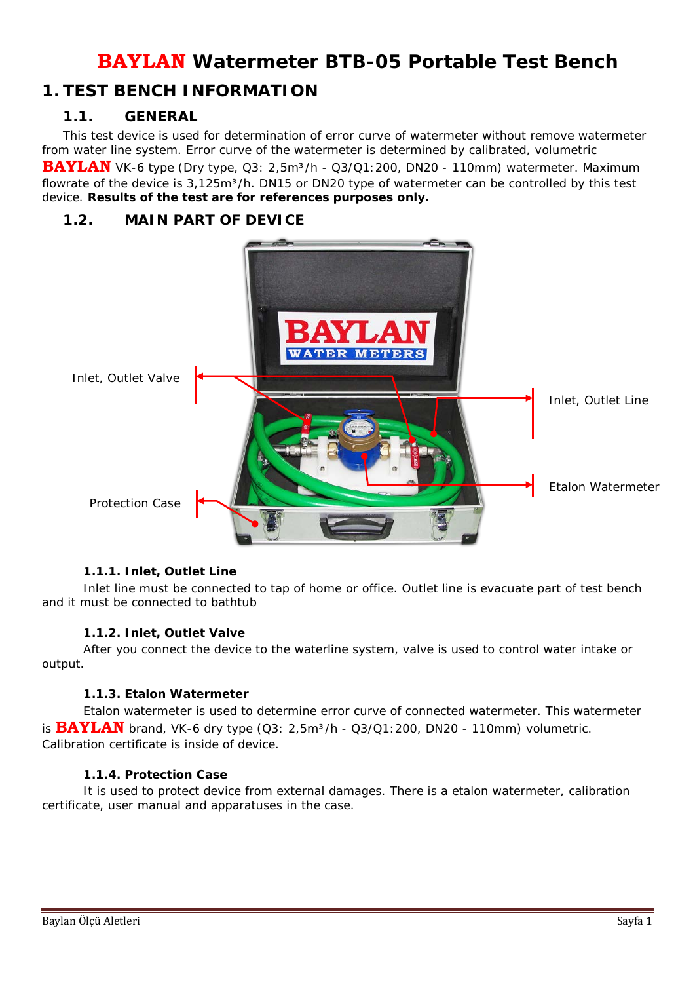# **BAYLAN Watermeter BTB-05 Portable Test Bench**

## **1. TEST BENCH INFORMATION**

### *1.1. GENERAL*

This test device is used for determination of error curve of watermeter without remove watermeter from water line system. Error curve of the watermeter is determined by calibrated, volumetric

BAYLAN VK-6 type (Dry type, Q3: 2,5m<sup>3</sup>/h - Q3/Q1:200, DN20 - 110mm) watermeter. Maximum flowrate of the device is  $3.125m^3/h$ . DN15 or DN20 type of watermeter can be controlled by this test device. **Results of the test are for references purposes only.**

### *1.2. MAIN PART OF DEVICE*



#### **1.1.1. Inlet, Outlet Line**

Inlet line must be connected to tap of home or office. Outlet line is evacuate part of test bench and it must be connected to bathtub

#### **1.1.2. Inlet, Outlet Valve**

After you connect the device to the waterline system, valve is used to control water intake or output.

#### **1.1.3. Etalon Watermeter**

Etalon watermeter is used to determine error curve of connected watermeter. This watermeter is **BAYLAN** brand, VK-6 dry type (Q3: 2,5m<sup>3</sup>/h - Q3/Q1:200, DN20 - 110mm) volumetric. Calibration certificate is inside of device.

#### **1.1.4. Protection Case**

It is used to protect device from external damages. There is a etalon watermeter, calibration certificate, user manual and apparatuses in the case.